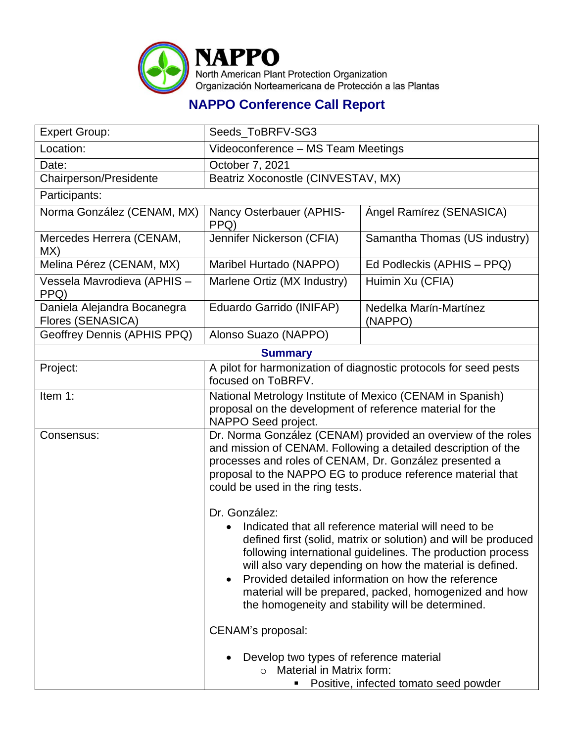

## **NAPPO Conference Call Report**

| <b>Expert Group:</b>                             | Seeds_ToBRFV-SG3                                                                                                                                                                                                                                                                                                                                                                                                                                                                                                                                                                                                                                                                 |                                                                                              |  |
|--------------------------------------------------|----------------------------------------------------------------------------------------------------------------------------------------------------------------------------------------------------------------------------------------------------------------------------------------------------------------------------------------------------------------------------------------------------------------------------------------------------------------------------------------------------------------------------------------------------------------------------------------------------------------------------------------------------------------------------------|----------------------------------------------------------------------------------------------|--|
| Location:                                        | Videoconference - MS Team Meetings                                                                                                                                                                                                                                                                                                                                                                                                                                                                                                                                                                                                                                               |                                                                                              |  |
| Date:                                            | October 7, 2021                                                                                                                                                                                                                                                                                                                                                                                                                                                                                                                                                                                                                                                                  |                                                                                              |  |
| Chairperson/Presidente                           | Beatriz Xoconostle (CINVESTAV, MX)                                                                                                                                                                                                                                                                                                                                                                                                                                                                                                                                                                                                                                               |                                                                                              |  |
| Participants:                                    |                                                                                                                                                                                                                                                                                                                                                                                                                                                                                                                                                                                                                                                                                  |                                                                                              |  |
| Norma González (CENAM, MX)                       | Nancy Osterbauer (APHIS-<br>PPQ)                                                                                                                                                                                                                                                                                                                                                                                                                                                                                                                                                                                                                                                 | Ángel Ramírez (SENASICA)                                                                     |  |
| Mercedes Herrera (CENAM,<br>MX)                  | Jennifer Nickerson (CFIA)                                                                                                                                                                                                                                                                                                                                                                                                                                                                                                                                                                                                                                                        | Samantha Thomas (US industry)                                                                |  |
| Melina Pérez (CENAM, MX)                         | Maribel Hurtado (NAPPO)                                                                                                                                                                                                                                                                                                                                                                                                                                                                                                                                                                                                                                                          | Ed Podleckis (APHIS – PPQ)                                                                   |  |
| Vessela Mavrodieva (APHIS -<br>PPQ)              | Marlene Ortiz (MX Industry)                                                                                                                                                                                                                                                                                                                                                                                                                                                                                                                                                                                                                                                      | Huimin Xu (CFIA)                                                                             |  |
| Daniela Alejandra Bocanegra<br>Flores (SENASICA) | Eduardo Garrido (INIFAP)                                                                                                                                                                                                                                                                                                                                                                                                                                                                                                                                                                                                                                                         | Nedelka Marín-Martínez<br>(NAPPO)                                                            |  |
| Geoffrey Dennis (APHIS PPQ)                      | Alonso Suazo (NAPPO)                                                                                                                                                                                                                                                                                                                                                                                                                                                                                                                                                                                                                                                             |                                                                                              |  |
|                                                  | <b>Summary</b>                                                                                                                                                                                                                                                                                                                                                                                                                                                                                                                                                                                                                                                                   |                                                                                              |  |
| Project:                                         | A pilot for harmonization of diagnostic protocols for seed pests<br>focused on ToBRFV.                                                                                                                                                                                                                                                                                                                                                                                                                                                                                                                                                                                           |                                                                                              |  |
| Item 1:                                          | National Metrology Institute of Mexico (CENAM in Spanish)<br>proposal on the development of reference material for the<br>NAPPO Seed project.                                                                                                                                                                                                                                                                                                                                                                                                                                                                                                                                    |                                                                                              |  |
| Consensus:                                       | Dr. Norma González (CENAM) provided an overview of the roles<br>and mission of CENAM. Following a detailed description of the<br>processes and roles of CENAM, Dr. González presented a<br>proposal to the NAPPO EG to produce reference material that<br>could be used in the ring tests.<br>Dr. González:<br>Indicated that all reference material will need to be<br>defined first (solid, matrix or solution) and will be produced<br>following international guidelines. The production process<br>will also vary depending on how the material is defined.<br>Provided detailed information on how the reference<br>material will be prepared, packed, homogenized and how |                                                                                              |  |
|                                                  | CENAM's proposal:                                                                                                                                                                                                                                                                                                                                                                                                                                                                                                                                                                                                                                                                | the homogeneity and stability will be determined.<br>Develop two types of reference material |  |
|                                                  | Material in Matrix form:<br>$\cap$<br>Positive, infected tomato seed powder                                                                                                                                                                                                                                                                                                                                                                                                                                                                                                                                                                                                      |                                                                                              |  |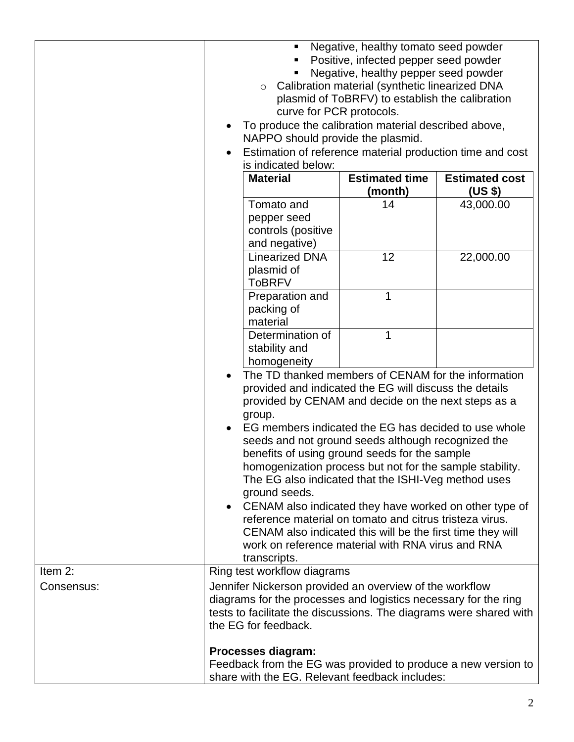|            | Negative, healthy tomato seed powder<br>Positive, infected pepper seed powder<br>Negative, healthy pepper seed powder<br>Calibration material (synthetic linearized DNA<br>$\circ$<br>plasmid of ToBRFV) to establish the calibration<br>curve for PCR protocols.<br>To produce the calibration material described above,<br>NAPPO should provide the plasmid.<br>Estimation of reference material production time and cost<br>is indicated below:<br><b>Material</b><br><b>Estimated time</b><br><b>Estimated cost</b>                                                                                                                                                                                                                   |         |           |  |
|------------|-------------------------------------------------------------------------------------------------------------------------------------------------------------------------------------------------------------------------------------------------------------------------------------------------------------------------------------------------------------------------------------------------------------------------------------------------------------------------------------------------------------------------------------------------------------------------------------------------------------------------------------------------------------------------------------------------------------------------------------------|---------|-----------|--|
|            |                                                                                                                                                                                                                                                                                                                                                                                                                                                                                                                                                                                                                                                                                                                                           | (month) | (US \$)   |  |
|            | Tomato and<br>pepper seed<br>controls (positive<br>and negative)                                                                                                                                                                                                                                                                                                                                                                                                                                                                                                                                                                                                                                                                          | 14      | 43,000.00 |  |
|            | <b>Linearized DNA</b><br>plasmid of<br><b>ToBRFV</b>                                                                                                                                                                                                                                                                                                                                                                                                                                                                                                                                                                                                                                                                                      | 12      | 22,000.00 |  |
|            | Preparation and<br>packing of<br>material                                                                                                                                                                                                                                                                                                                                                                                                                                                                                                                                                                                                                                                                                                 | 1       |           |  |
|            | Determination of<br>stability and<br>homogeneity                                                                                                                                                                                                                                                                                                                                                                                                                                                                                                                                                                                                                                                                                          | 1       |           |  |
| Item 2:    | The TD thanked members of CENAM for the information<br>provided and indicated the EG will discuss the details<br>provided by CENAM and decide on the next steps as a<br>group.<br>EG members indicated the EG has decided to use whole<br>seeds and not ground seeds although recognized the<br>benefits of using ground seeds for the sample<br>homogenization process but not for the sample stability.<br>The EG also indicated that the ISHI-Veg method uses<br>ground seeds.<br>CENAM also indicated they have worked on other type of<br>reference material on tomato and citrus tristeza virus.<br>CENAM also indicated this will be the first time they will<br>work on reference material with RNA virus and RNA<br>transcripts. |         |           |  |
| Consensus: | Ring test workflow diagrams                                                                                                                                                                                                                                                                                                                                                                                                                                                                                                                                                                                                                                                                                                               |         |           |  |
|            | Jennifer Nickerson provided an overview of the workflow<br>diagrams for the processes and logistics necessary for the ring<br>tests to facilitate the discussions. The diagrams were shared with<br>the EG for feedback.                                                                                                                                                                                                                                                                                                                                                                                                                                                                                                                  |         |           |  |
|            | Processes diagram:<br>Feedback from the EG was provided to produce a new version to<br>share with the EG. Relevant feedback includes:                                                                                                                                                                                                                                                                                                                                                                                                                                                                                                                                                                                                     |         |           |  |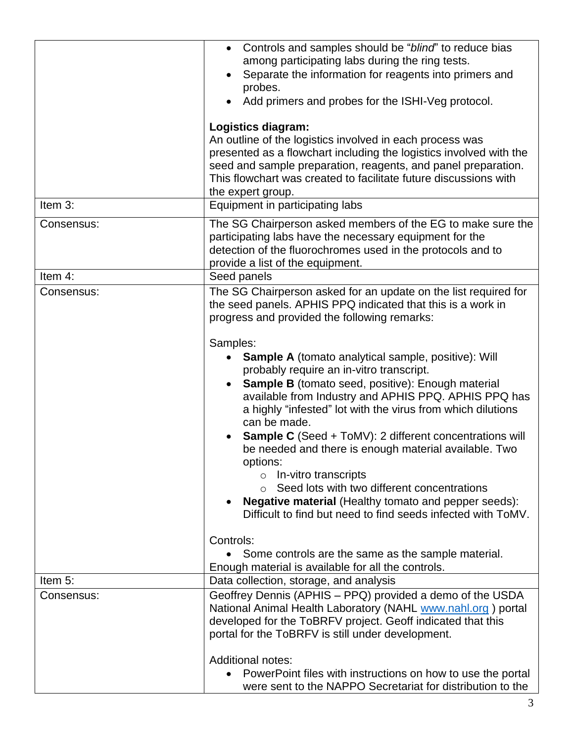| Item 3:    | Controls and samples should be "blind" to reduce bias<br>among participating labs during the ring tests.<br>Separate the information for reagents into primers and<br>$\bullet$<br>probes.<br>Add primers and probes for the ISHI-Veg protocol.<br>Logistics diagram:<br>An outline of the logistics involved in each process was<br>presented as a flowchart including the logistics involved with the<br>seed and sample preparation, reagents, and panel preparation.<br>This flowchart was created to facilitate future discussions with<br>the expert group.<br>Equipment in participating labs                                                                                                                                                                                                                                                                                                                                                                                                          |
|------------|---------------------------------------------------------------------------------------------------------------------------------------------------------------------------------------------------------------------------------------------------------------------------------------------------------------------------------------------------------------------------------------------------------------------------------------------------------------------------------------------------------------------------------------------------------------------------------------------------------------------------------------------------------------------------------------------------------------------------------------------------------------------------------------------------------------------------------------------------------------------------------------------------------------------------------------------------------------------------------------------------------------|
| Consensus: | The SG Chairperson asked members of the EG to make sure the<br>participating labs have the necessary equipment for the<br>detection of the fluorochromes used in the protocols and to<br>provide a list of the equipment.                                                                                                                                                                                                                                                                                                                                                                                                                                                                                                                                                                                                                                                                                                                                                                                     |
| Item 4:    | Seed panels                                                                                                                                                                                                                                                                                                                                                                                                                                                                                                                                                                                                                                                                                                                                                                                                                                                                                                                                                                                                   |
| Consensus: | The SG Chairperson asked for an update on the list required for<br>the seed panels. APHIS PPQ indicated that this is a work in<br>progress and provided the following remarks:<br>Samples:<br><b>Sample A</b> (tomato analytical sample, positive): Will<br>probably require an in-vitro transcript.<br><b>Sample B</b> (tomato seed, positive): Enough material<br>$\bullet$<br>available from Industry and APHIS PPQ. APHIS PPQ has<br>a highly "infested" lot with the virus from which dilutions<br>can be made.<br><b>Sample C</b> (Seed + ToMV): 2 different concentrations will<br>be needed and there is enough material available. Two<br>options:<br>$\circ$ In-vitro transcripts<br>Seed lots with two different concentrations<br>$\circ$<br><b>Negative material (Healthy tomato and pepper seeds):</b><br>Difficult to find but need to find seeds infected with ToMV.<br>Controls:<br>Some controls are the same as the sample material.<br>Enough material is available for all the controls. |
| Item 5:    | Data collection, storage, and analysis                                                                                                                                                                                                                                                                                                                                                                                                                                                                                                                                                                                                                                                                                                                                                                                                                                                                                                                                                                        |
| Consensus: | Geoffrey Dennis (APHIS – PPQ) provided a demo of the USDA<br>National Animal Health Laboratory (NAHL www.nahl.org) portal<br>developed for the ToBRFV project. Geoff indicated that this<br>portal for the ToBRFV is still under development.<br><b>Additional notes:</b><br>PowerPoint files with instructions on how to use the portal<br>were sent to the NAPPO Secretariat for distribution to the                                                                                                                                                                                                                                                                                                                                                                                                                                                                                                                                                                                                        |